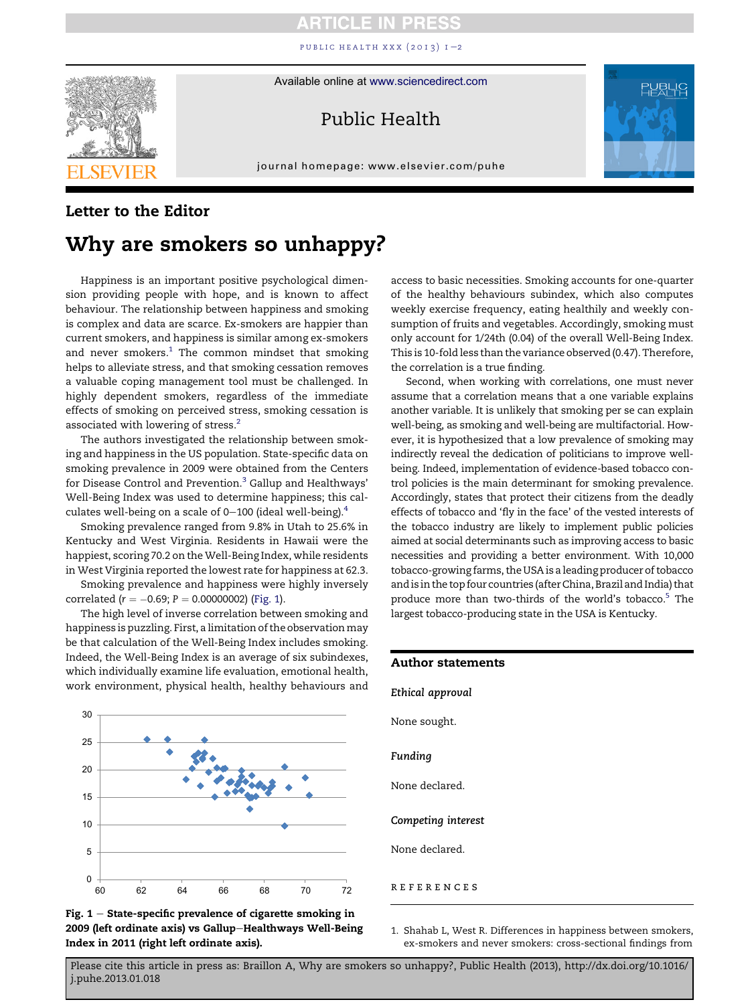## CLE

PUBLIC HEALTH XXX  $(2013)$  $(2013)$  $(2013)$  I-2



Available online at [www.sciencedirect.com](www.sciencedirect.com/science/journal/00333506)

## Public Health

journal homepage:<www.elsevier.com/puhe>r.com/puher.com/puher.com/puher.com/puher.com/puher.com/puher.com/puher.com/puher.com/puher.com/puher.com/puher.com/puher.com/puher.com/puher.com/puher.com/puher.com/puher.com/puher.



### Letter to the Editor

# Why are smokers so unhappy?

Happiness is an important positive psychological dimension providing people with hope, and is known to affect behaviour. The relationship between happiness and smoking is complex and data are scarce. Ex-smokers are happier than current smokers, and happiness is similar among ex-smokers and never  $smokes<sup>1</sup>$ . The common mindset that smoking helps to alleviate stress, and that smoking cessation removes a valuable coping management tool must be challenged. In highly dependent smokers, regardless of the immediate effects of smoking on perceived stress, smoking cessation is associated with lowering of stress.[2](#page-1-0)

The authors investigated the relationship between smoking and happiness in the US population. State-specific data on smoking prevalence in 2009 were obtained from the Centers for Disease Control and Prevention.<sup>[3](#page-1-0)</sup> Gallup and Healthways' Well-Being Index was used to determine happiness; this calculates well-being on a scale of  $0-100$  (ideal well-being).<sup>[4](#page-1-0)</sup>

Smoking prevalence ranged from 9.8% in Utah to 25.6% in Kentucky and West Virginia. Residents in Hawaii were the happiest, scoring 70.2 on the Well-Being Index, while residents in West Virginia reported the lowest rate for happiness at 62.3.

Smoking prevalence and happiness were highly inversely correlated ( $r = -0.69; P = 0.00000002$ ) (Fig. 1).

The high level of inverse correlation between smoking and happiness is puzzling. First, a limitation of the observation may be that calculation of the Well-Being Index includes smoking. Indeed, the Well-Being Index is an average of six subindexes, which individually examine life evaluation, emotional health, work environment, physical health, healthy behaviours and





access to basic necessities. Smoking accounts for one-quarter of the healthy behaviours subindex, which also computes weekly exercise frequency, eating healthily and weekly consumption of fruits and vegetables. Accordingly, smoking must only account for 1/24th (0.04) of the overall Well-Being Index. This is 10-fold less than the variance observed (0.47). Therefore, the correlation is a true finding.

Second, when working with correlations, one must never assume that a correlation means that a one variable explains another variable. It is unlikely that smoking per se can explain well-being, as smoking and well-being are multifactorial. However, it is hypothesized that a low prevalence of smoking may indirectly reveal the dedication of politicians to improve wellbeing. Indeed, implementation of evidence-based tobacco control policies is the main determinant for smoking prevalence. Accordingly, states that protect their citizens from the deadly effects of tobacco and 'fly in the face' of the vested interests of the tobacco industry are likely to implement public policies aimed at social determinants such as improving access to basic necessities and providing a better environment. With 10,000 tobacco-growing farms, the USA is a leading producer of tobacco and is in the top four countries (after China, Brazil and India) that produce more than two-thirds of the world's tobacco.<sup>5</sup> The largest tobacco-producing state in the USA is Kentucky.

| <b>Author statements</b> |  |
|--------------------------|--|
| Ethical approval         |  |
| None sought.             |  |
| Funding                  |  |
| None declared.           |  |
| Competing interest       |  |
| None declared.           |  |
| <b>REFERENCES</b>        |  |

1. Shahab L, West R. Differences in happiness between smokers, ex-smokers and never smokers: cross-sectional findings from

Please cite this article in press as: Braillon A, Why are smokers so unhappy?, Public Health (2013), http://dx.doi.org/10.1016/ j.puhe.2013.01.018